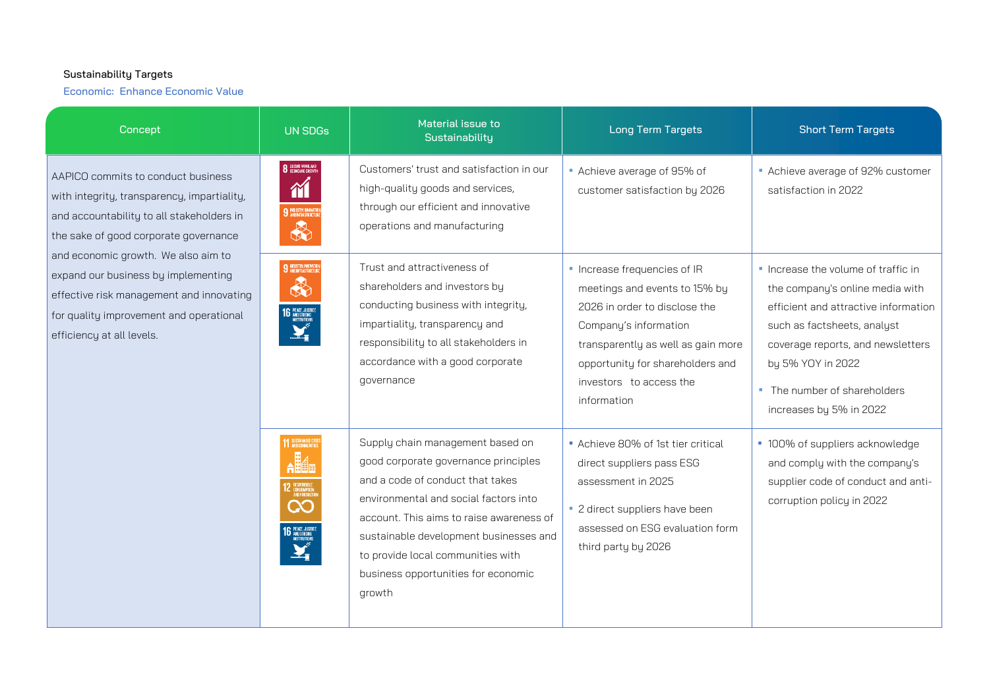## Sustainability Targets

Economic: Enhance Economic Value

| Concept                                                                                                                                                                                                                                                                                                                                                                   | <b>UN SDGs</b>                                                                                     | Material issue to<br>Sustainability                                                                                                                                                                                                                                                                                               | <b>Long Term Targets</b>                                                                                                                                                                                                                    | <b>Short Term Targets</b>                                                                                                                                                                                                                                          |
|---------------------------------------------------------------------------------------------------------------------------------------------------------------------------------------------------------------------------------------------------------------------------------------------------------------------------------------------------------------------------|----------------------------------------------------------------------------------------------------|-----------------------------------------------------------------------------------------------------------------------------------------------------------------------------------------------------------------------------------------------------------------------------------------------------------------------------------|---------------------------------------------------------------------------------------------------------------------------------------------------------------------------------------------------------------------------------------------|--------------------------------------------------------------------------------------------------------------------------------------------------------------------------------------------------------------------------------------------------------------------|
| AAPICO commits to conduct business<br>with integrity, transparency, impartiality,<br>and accountability to all stakeholders in<br>the sake of good corporate governance<br>and economic growth. We also aim to<br>expand our business by implementing<br>effective risk management and innovating<br>for quality improvement and operational<br>efficiency at all levels. | 8 DECENT WORK AND<br>$\gamma$<br>9 MOUSTRY, INNOVATION<br>$\clubsuit$                              | Customers' trust and satisfaction in our<br>high-quality goods and services,<br>through our efficient and innovative<br>operations and manufacturing                                                                                                                                                                              | Achieve average of 95% of<br>customer satisfaction by 2026                                                                                                                                                                                  | Achieve average of 92% customer<br>satisfaction in 2022                                                                                                                                                                                                            |
|                                                                                                                                                                                                                                                                                                                                                                           | 9 MOUSTRY, INNOVATION<br>$\clubsuit$<br><b>16 AND STRONG</b><br>MSTITUTOWS<br>MSTITUTOWS           | Trust and attractiveness of<br>shareholders and investors by<br>conducting business with integrity,<br>impartiality, transparency and<br>responsibility to all stakeholders in<br>accordance with a good corporate<br>qovernance                                                                                                  | • Increase frequencies of IR<br>meetings and events to 15% by<br>2026 in order to disclose the<br>Company's information<br>transparently as well as gain more<br>opportunity for shareholders and<br>investors to access the<br>information | • Increase the volume of traffic in<br>the company's online media with<br>efficient and attractive information<br>such as factsheets, analyst<br>coverage reports, and newsletters<br>by 5% YOY in 2022<br>• The number of shareholders<br>increases by 5% in 2022 |
|                                                                                                                                                                                                                                                                                                                                                                           | 11 SUSTAINABLE CIT<br><b>12</b> RESPONSIBLE<br>CONSUMPTION<br>AND PRODUCT<br>8<br>16 PEACE, JUSTIC | Supply chain management based on<br>good corporate governance principles<br>and a code of conduct that takes<br>environmental and social factors into<br>account. This aims to raise awareness of<br>sustainable development businesses and<br>to provide local communities with<br>business opportunities for economic<br>growth | Achieve 80% of 1st tier critical<br>direct suppliers pass ESG<br>assessment in 2025<br>• 2 direct suppliers have been<br>assessed on ESG evaluation form<br>third party by 2026                                                             | • 100% of suppliers acknowledge<br>and comply with the company's<br>supplier code of conduct and anti-<br>corruption policy in 2022                                                                                                                                |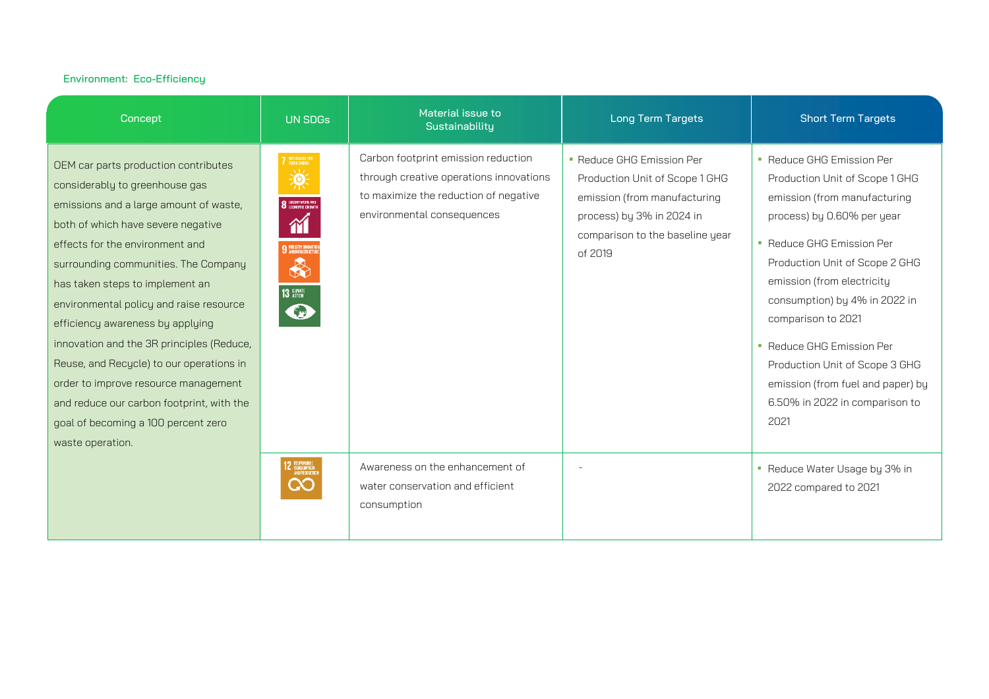## Environment: Eco-Efficiency

| Concept                                                                                                                                                                                                                                                                                                                                                                                                                                                                                                                                                                                      | <b>UN SDGs</b>                                                                                                                    | Material issue to<br>Sustainability                                                                                                                   | Long Term Targets                                                                                                                                                      | <b>Short Term Targets</b>                                                                                                                                                                                                                                                                                                                                                                                                   |
|----------------------------------------------------------------------------------------------------------------------------------------------------------------------------------------------------------------------------------------------------------------------------------------------------------------------------------------------------------------------------------------------------------------------------------------------------------------------------------------------------------------------------------------------------------------------------------------------|-----------------------------------------------------------------------------------------------------------------------------------|-------------------------------------------------------------------------------------------------------------------------------------------------------|------------------------------------------------------------------------------------------------------------------------------------------------------------------------|-----------------------------------------------------------------------------------------------------------------------------------------------------------------------------------------------------------------------------------------------------------------------------------------------------------------------------------------------------------------------------------------------------------------------------|
| OEM car parts production contributes<br>considerably to greenhouse gas<br>emissions and a large amount of waste,<br>both of which have severe negative<br>effects for the environment and<br>surrounding communities. The Company<br>has taken steps to implement an<br>environmental policy and raise resource<br>efficiency awareness by applying<br>innovation and the 3R principles (Reduce,<br>Reuse, and Recycle) to our operations in<br>order to improve resource management<br>and reduce our carbon footprint, with the<br>goal of becoming a 100 percent zero<br>waste operation. | 7 AFORDABLE AND<br>美<br>8 DECENT WORK AND<br>$\gamma$<br>9 <b>BOUSTRY, INNOVATIO</b><br>$\clubsuit$<br>13 GLIMATE<br>$\mathbb{C}$ | Carbon footprint emission reduction<br>through creative operations innovations<br>to maximize the reduction of negative<br>environmental consequences | • Reduce GHG Emission Per<br>Production Unit of Scope 1 GHG<br>emission (from manufacturing<br>process) by 3% in 2024 in<br>comparison to the baseline year<br>of 2019 | • Reduce GHG Emission Per<br>Production Unit of Scope 1 GHG<br>emission (from manufacturing<br>process) by 0.60% per year<br>• Reduce GHG Emission Per<br>Production Unit of Scope 2 GHG<br>emission (from electricity<br>consumption) by 4% in 2022 in<br>comparison to 2021<br>• Reduce GHG Emission Per<br>Production Unit of Scope 3 GHG<br>emission (from fuel and paper) by<br>6.50% in 2022 in comparison to<br>2021 |
|                                                                                                                                                                                                                                                                                                                                                                                                                                                                                                                                                                                              | <b>12 BESPONSIBLE</b><br>AND PRODUCTION<br>လ                                                                                      | Awareness on the enhancement of<br>water conservation and efficient<br>consumption                                                                    |                                                                                                                                                                        | • Reduce Water Usage by 3% in<br>2022 compared to 2021                                                                                                                                                                                                                                                                                                                                                                      |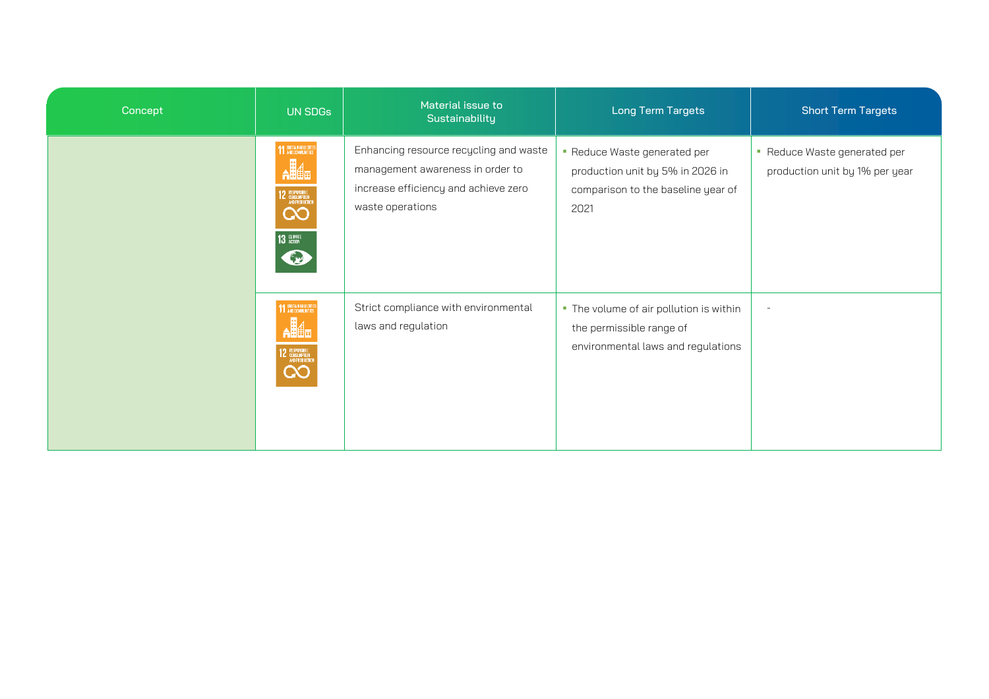| Concept | UN SDGs                                                                                                    | Material issue to<br>Sustainability                                                                                                    | Long Term Targets                                                                                              | <b>Short Term Targets</b>                                      |
|---------|------------------------------------------------------------------------------------------------------------|----------------------------------------------------------------------------------------------------------------------------------------|----------------------------------------------------------------------------------------------------------------|----------------------------------------------------------------|
|         | <b>11 SUSTAINABLE CITTES</b><br>$\mathbf{A}$<br><b>12 RESPONSIBLE</b><br>AND PRODUCTION<br>လ<br>13 GLIMATE | Enhancing resource recycling and waste<br>management awareness in order to<br>increase efficiency and achieve zero<br>waste operations | • Reduce Waste generated per<br>production unit by 5% in 2026 in<br>comparison to the baseline year of<br>2021 | • Reduce Waste generated per<br>production unit by 1% per year |
|         | 11 SUSTAINABLE CITTES<br><b>AN</b><br><b>12 RESPONSIBLE</b><br>AND PRODUCTION<br>လ                         | Strict compliance with environmental<br>laws and regulation                                                                            | • The volume of air pollution is within<br>the permissible range of<br>environmental laws and regulations      |                                                                |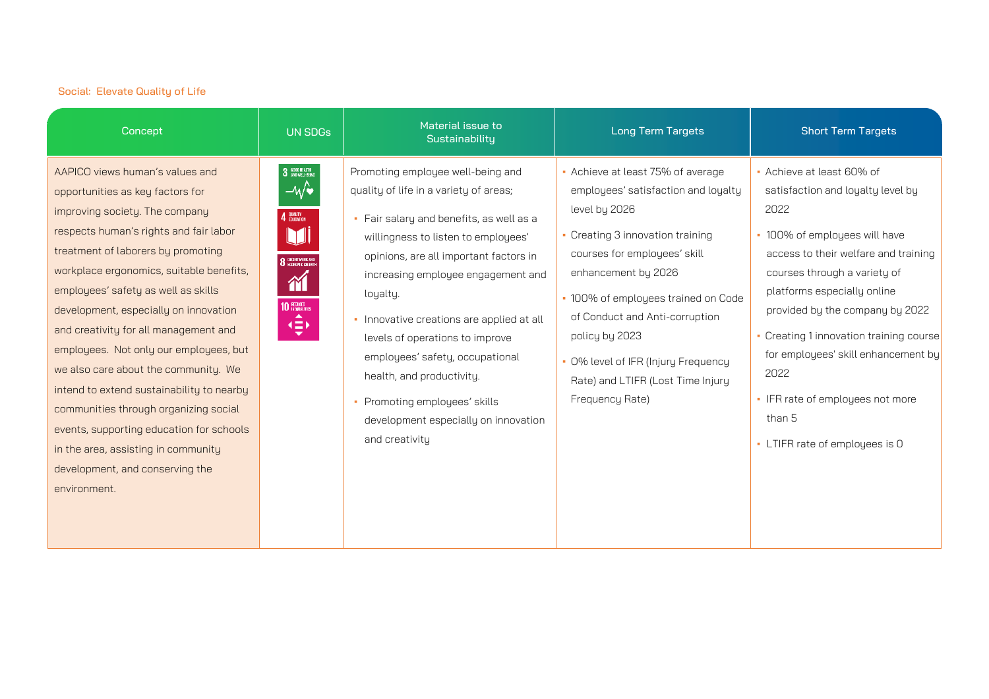| Concept                                                                                                                                                                                                                                                                                                                                                                                                                                                                                                                                                                                                                                                                  | <b>UN SDGs</b>                                                                                                                | Material issue to<br>Sustainability                                                                                                                                                                                                                                                                                                                                                                                                                                                                 | Long Term Targets                                                                                                                                                                                                                                                                                                                                                              | <b>Short Term Targets</b>                                                                                                                                                                                                                                                                                                                                                                                                   |
|--------------------------------------------------------------------------------------------------------------------------------------------------------------------------------------------------------------------------------------------------------------------------------------------------------------------------------------------------------------------------------------------------------------------------------------------------------------------------------------------------------------------------------------------------------------------------------------------------------------------------------------------------------------------------|-------------------------------------------------------------------------------------------------------------------------------|-----------------------------------------------------------------------------------------------------------------------------------------------------------------------------------------------------------------------------------------------------------------------------------------------------------------------------------------------------------------------------------------------------------------------------------------------------------------------------------------------------|--------------------------------------------------------------------------------------------------------------------------------------------------------------------------------------------------------------------------------------------------------------------------------------------------------------------------------------------------------------------------------|-----------------------------------------------------------------------------------------------------------------------------------------------------------------------------------------------------------------------------------------------------------------------------------------------------------------------------------------------------------------------------------------------------------------------------|
| AAPICO views human's values and<br>opportunities as key factors for<br>improving society. The company<br>respects human's rights and fair labor<br>treatment of laborers by promoting<br>workplace ergonomics, suitable benefits,<br>employees' safety as well as skills<br>development, especially on innovation<br>and creativity for all management and<br>employees. Not only our employees, but<br>we also care about the community. We<br>intend to extend sustainability to nearby<br>communities through organizing social<br>events, supporting education for schools<br>in the area, assisting in community<br>development, and conserving the<br>environment. | 3 GOOD HEALTH<br>$-\mathcal{N}$<br>4 QUALITY<br>8 DECENT WORK AND<br>$\gamma$<br><b>10 REDUCED</b><br>$\blacktriangle$<br>1≣) | Promoting employee well-being and<br>quality of life in a variety of areas;<br>• Fair salary and benefits, as well as a<br>willingness to listen to employees'<br>opinions, are all important factors in<br>increasing employee engagement and<br>loyalty.<br>• Innovative creations are applied at all<br>levels of operations to improve<br>employees' safety, occupational<br>health, and productivity.<br>Promoting employees' skills<br>development especially on innovation<br>and creativity | • Achieve at least 75% of average<br>employees' satisfaction and loyalty<br>level by 2026<br>• Creating 3 innovation training<br>courses for employees' skill<br>enhancement by 2026<br>• 100% of employees trained on Code<br>of Conduct and Anti-corruption<br>policy by 2023<br>• 0% level of IFR (Injury Frequency<br>Rate) and LTIFR (Lost Time Injury<br>Frequency Rate) | • Achieve at least 60% of<br>satisfaction and loyalty level by<br>2022<br>• 100% of employees will have<br>access to their welfare and training<br>courses through a variety of<br>platforms especially online<br>provided by the company by 2022<br>• Creating 1 innovation training course<br>for employees' skill enhancement by<br>2022<br>• IFR rate of employees not more<br>than 5<br>• LTIFR rate of employees is 0 |